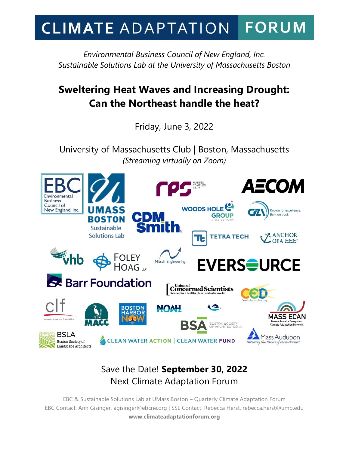## **FORUM CLIMATE ADAPTATION**

*Environmental Business Council of New England, Inc. Sustainable Solutions Lab at the University of Massachusetts Boston*

# **Sweltering Heat Waves and Increasing Drought: Can the Northeast handle the heat?**

Friday, June 3, 2022

University of Massachusetts Club | Boston, Massachusetts *(Streaming virtually on Zoom)*



# Save the Date! **September 30, 2022** Next Climate Adaptation Forum

EBC & Sustainable Solutions Lab at UMass Boston – Quarterly Climate Adaptation Forum EBC Contact: Ann Gisinger, agisinger@ebcne.org | SSL Contact: Rebecca Herst, rebecca.herst@umb.edu **www.climateadaptationforum.org**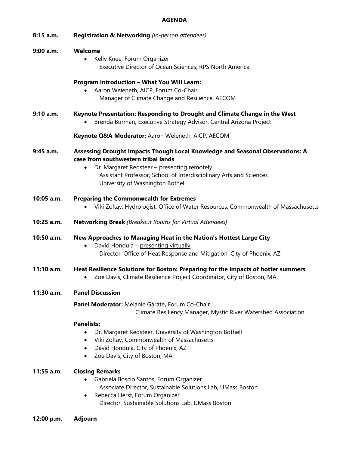### **AGENDA**

| 8:15 a.m.    | Registration & Networking (in-person attendees)                                                                                                                                                                                                                               |
|--------------|-------------------------------------------------------------------------------------------------------------------------------------------------------------------------------------------------------------------------------------------------------------------------------|
| 9:00 a.m.    | Welcome<br>Kelly Knee, Forum Organizer<br>Executive Director of Ocean Sciences, RPS North America                                                                                                                                                                             |
|              | Program Introduction - What You Will Learn:<br>Aaron Weieneth, AICP, Forum Co-Chair<br>Manager of Climate Change and Resilience, AECOM                                                                                                                                        |
| 9:10 a.m.    | Keynote Presentation: Responding to Drought and Climate Change in the West<br>Brenda Burman, Executive Strategy Advisor, Central Arizona Project                                                                                                                              |
|              | Keynote Q&A Moderator: Aaron Weieneth, AICP, AECOM                                                                                                                                                                                                                            |
| $9:45$ a.m.  | Assessing Drought Impacts Though Local Knowledge and Seasonal Observations: A<br>case from southwestern tribal lands<br>Dr. Margaret Redsteer - presenting remotely<br>Assistant Professor, School of Interdisciplinary Arts and Sciences<br>University of Washington Bothell |
| 10:05 a.m.   | <b>Preparing the Commonwealth for Extremes</b><br>Viki Zoltay, Hydrologist, Office of Water Resources, Commonwealth of Massachusetts                                                                                                                                          |
| 10:25 a.m.   | <b>Networking Break</b> (Breakout Rooms for Virtual Attendees)                                                                                                                                                                                                                |
| 10:50 a.m.   | New Approaches to Managing Heat in the Nation's Hottest Large City<br>David Hondula - presenting virtually<br>Director, Office of Heat Response and Mitigation, City of Phoenix, AZ                                                                                           |
| $11:10$ a.m. | Heat Resilience Solutions for Boston: Preparing for the impacts of hotter summers<br>Zoe Davis, Climate Resilience Project Coordinator, City of Boston, MA                                                                                                                    |
| $11:30$ a.m. | <b>Panel Discussion</b>                                                                                                                                                                                                                                                       |
|              | Panel Moderator: Melanie Gárate, Forum Co-Chair<br>Climate Resiliency Manager, Mystic River Watershed Association                                                                                                                                                             |
|              | <b>Panelists:</b><br>Dr. Margaret Redsteer, University of Washington Bothell<br>$\bullet$<br>Viki Zoltay, Commonwealth of Massachusetts<br>$\bullet$<br>David Hondula, City of Phoenix, AZ<br>$\bullet$<br>Zoe Davis, City of Boston, MA<br>$\bullet$                         |
| $11:55$ a.m. | <b>Closing Remarks</b><br>Gabriela Boscio Santos, Forum Organizer<br>Associate Director, Sustainable Solutions Lab, UMass Boston<br>Rebecca Herst, Forum Organizer<br>٠<br>Director, Sustainable Solutions Lab, UMass Boston                                                  |

**12:00 p.m. Adjourn**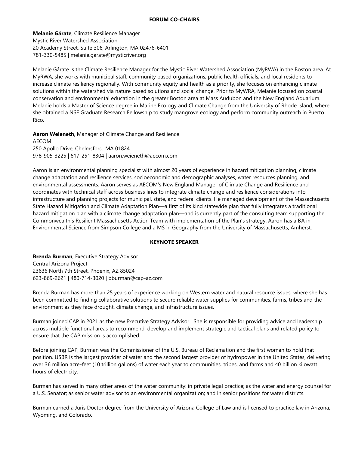**Melanie Gárate**, Climate Resilience Manager Mystic River Watershed Association 20 Academy Street, Suite 306, Arlington, MA 02476-6401 781-330-5485 | melanie.garate@mysticriver.org

Melanie Gárate is the Climate Resilience Manager for the Mystic River Watershed Association (MyRWA) in the Boston area. At MyRWA, she works with municipal staff, community based organizations, public health officials, and local residents to increase climate resiliency regionally. With community equity and health as a priority, she focuses on enhancing climate solutions within the watershed via nature based solutions and social change. Prior to MyWRA, Melanie focused on coastal conservation and environmental education in the greater Boston area at Mass Audubon and the New England Aquarium. Melanie holds a Master of Science degree in Marine Ecology and Climate Change from the University of Rhode Island, where she obtained a NSF Graduate Research Fellowship to study mangrove ecology and perform community outreach in Puerto Rico.

**Aaron Weieneth**, Manager of Climate Change and Resilience AECOM 250 Apollo Drive, Chelmsford, MA 01824 978-905-3225 | 617-251-8304 | aaron.weieneth@aecom.com

Aaron is an environmental planning specialist with almost 20 years of experience in hazard mitigation planning, climate change adaptation and resilience services, socioeconomic and demographic analyses, water resources planning, and environmental assessments. Aaron serves as AECOM's New England Manager of Climate Change and Resilience and coordinates with technical staff across business lines to integrate climate change and resilience considerations into infrastructure and planning projects for municipal, state, and federal clients. He managed development of the Massachusetts State Hazard Mitigation and Climate Adaptation Plan—a first of its kind statewide plan that fully integrates a traditional hazard mitigation plan with a climate change adaptation plan—and is currently part of the consulting team supporting the Commonwealth's Resilient Massachusetts Action Team with implementation of the Plan's strategy. Aaron has a BA in Environmental Science from Simpson College and a MS in Geography from the University of Massachusetts, Amherst.

### **KEYNOTE SPEAKER**

**Brenda Burman**, Executive Strategy Advisor Central Arizona Project 23636 North 7th Street, Phoenix, AZ 85024 623-869-2621 | 480-714-3020 | bburman@cap-az.com

Brenda Burman has more than 25 years of experience working on Western water and natural resource issues, where she has been committed to finding collaborative solutions to secure reliable water supplies for communities, farms, tribes and the environment as they face drought, climate change, and infrastructure issues.

Burman joined CAP in 2021 as the new Executive Strategy Advisor. She is responsible for providing advice and leadership across multiple functional areas to recommend, develop and implement strategic and tactical plans and related policy to ensure that the CAP mission is accomplished.

Before joining CAP, Burman was the Commissioner of the U.S. Bureau of Reclamation and the first woman to hold that position. USBR is the largest provider of water and the second largest provider of hydropower in the United States, delivering over 36 million acre-feet (10 trillion gallons) of water each year to communities, tribes, and farms and 40 billion kilowatt hours of electricity.

Burman has served in many other areas of the water community: in private legal practice; as the water and energy counsel for a U.S. Senator; as senior water advisor to an environmental organization; and in senior positions for water districts.

Burman earned a Juris Doctor degree from the University of Arizona College of Law and is licensed to practice law in Arizona, Wyoming, and Colorado.